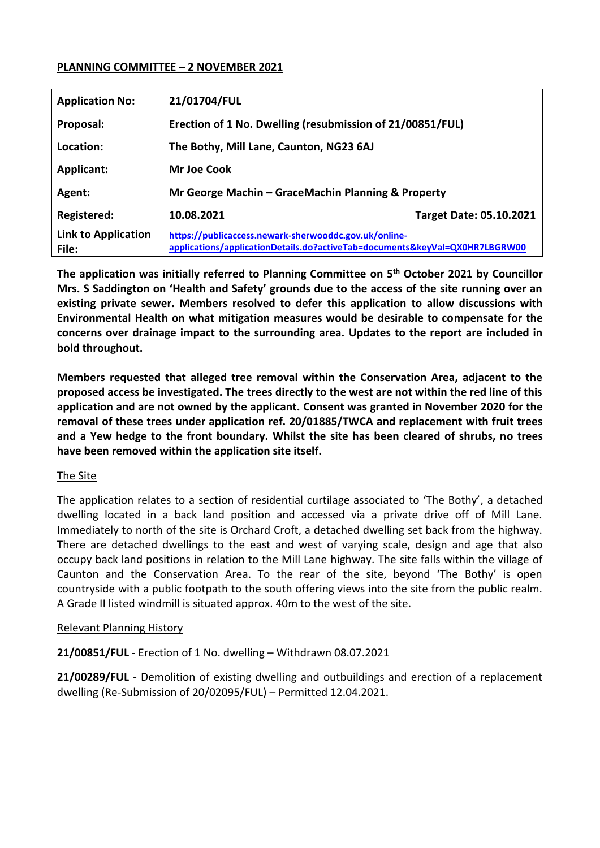#### **PLANNING COMMITTEE – 2 NOVEMBER 2021**

| <b>Application No:</b>              | 21/01704/FUL                                                                                                                         |                                |
|-------------------------------------|--------------------------------------------------------------------------------------------------------------------------------------|--------------------------------|
| Proposal:                           | Erection of 1 No. Dwelling (resubmission of 21/00851/FUL)                                                                            |                                |
| Location:                           | The Bothy, Mill Lane, Caunton, NG23 6AJ                                                                                              |                                |
| <b>Applicant:</b>                   | Mr Joe Cook                                                                                                                          |                                |
| Agent:                              | Mr George Machin – GraceMachin Planning & Property                                                                                   |                                |
| Registered:                         | 10.08.2021                                                                                                                           | <b>Target Date: 05.10.2021</b> |
| <b>Link to Application</b><br>File: | https://publicaccess.newark-sherwooddc.gov.uk/online-<br>applications/applicationDetails.do?activeTab=documents&keyVal=QX0HR7LBGRW00 |                                |

**The application was initially referred to Planning Committee on 5th October 2021 by Councillor Mrs. S Saddington on 'Health and Safety' grounds due to the access of the site running over an existing private sewer. Members resolved to defer this application to allow discussions with Environmental Health on what mitigation measures would be desirable to compensate for the concerns over drainage impact to the surrounding area. Updates to the report are included in bold throughout.** 

**Members requested that alleged tree removal within the Conservation Area, adjacent to the proposed access be investigated. The trees directly to the west are not within the red line of this application and are not owned by the applicant. Consent was granted in November 2020 for the removal of these trees under application ref. 20/01885/TWCA and replacement with fruit trees and a Yew hedge to the front boundary. Whilst the site has been cleared of shrubs, no trees have been removed within the application site itself.**

#### The Site

The application relates to a section of residential curtilage associated to 'The Bothy', a detached dwelling located in a back land position and accessed via a private drive off of Mill Lane. Immediately to north of the site is Orchard Croft, a detached dwelling set back from the highway. There are detached dwellings to the east and west of varying scale, design and age that also occupy back land positions in relation to the Mill Lane highway. The site falls within the village of Caunton and the Conservation Area. To the rear of the site, beyond 'The Bothy' is open countryside with a public footpath to the south offering views into the site from the public realm. A Grade II listed windmill is situated approx. 40m to the west of the site.

#### Relevant Planning History

**21/00851/FUL** - Erection of 1 No. dwelling – Withdrawn 08.07.2021

**21/00289/FUL** - Demolition of existing dwelling and outbuildings and erection of a replacement dwelling (Re-Submission of 20/02095/FUL) – Permitted 12.04.2021.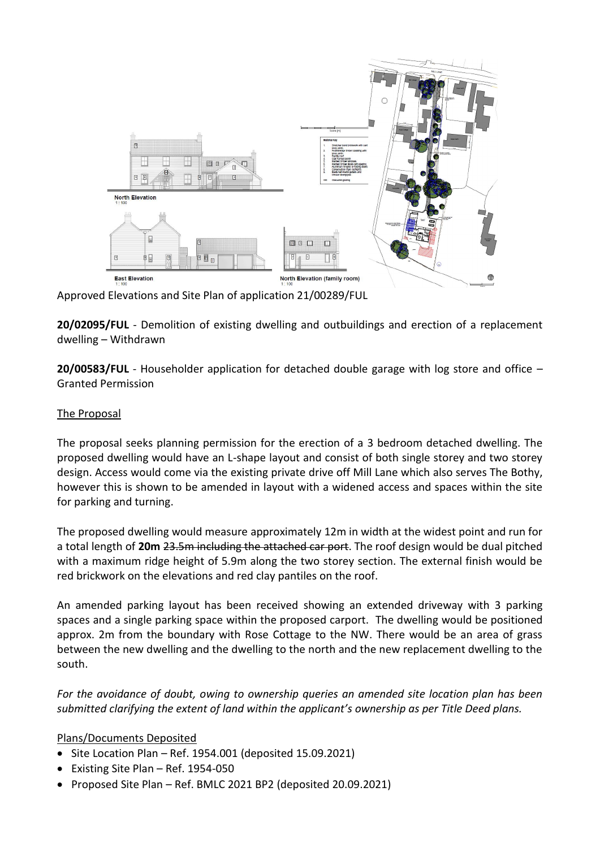

Approved Elevations and Site Plan of application 21/00289/FUL

**20/02095/FUL** - Demolition of existing dwelling and outbuildings and erection of a replacement dwelling – Withdrawn

**20/00583/FUL** - Householder application for detached double garage with log store and office – Granted Permission

## The Proposal

The proposal seeks planning permission for the erection of a 3 bedroom detached dwelling. The proposed dwelling would have an L-shape layout and consist of both single storey and two storey design. Access would come via the existing private drive off Mill Lane which also serves The Bothy, however this is shown to be amended in layout with a widened access and spaces within the site for parking and turning.

The proposed dwelling would measure approximately 12m in width at the widest point and run for a total length of **20m** 23.5m including the attached car port. The roof design would be dual pitched with a maximum ridge height of 5.9m along the two storey section. The external finish would be red brickwork on the elevations and red clay pantiles on the roof.

An amended parking layout has been received showing an extended driveway with 3 parking spaces and a single parking space within the proposed carport. The dwelling would be positioned approx. 2m from the boundary with Rose Cottage to the NW. There would be an area of grass between the new dwelling and the dwelling to the north and the new replacement dwelling to the south.

*For the avoidance of doubt, owing to ownership queries an amended site location plan has been submitted clarifying the extent of land within the applicant's ownership as per Title Deed plans.* 

# Plans/Documents Deposited

- $\bullet$  Site Location Plan Ref. 1954.001 (deposited 15.09.2021)
- Existing Site Plan Ref. 1954-050
- Proposed Site Plan Ref. BMLC 2021 BP2 (deposited 20.09.2021)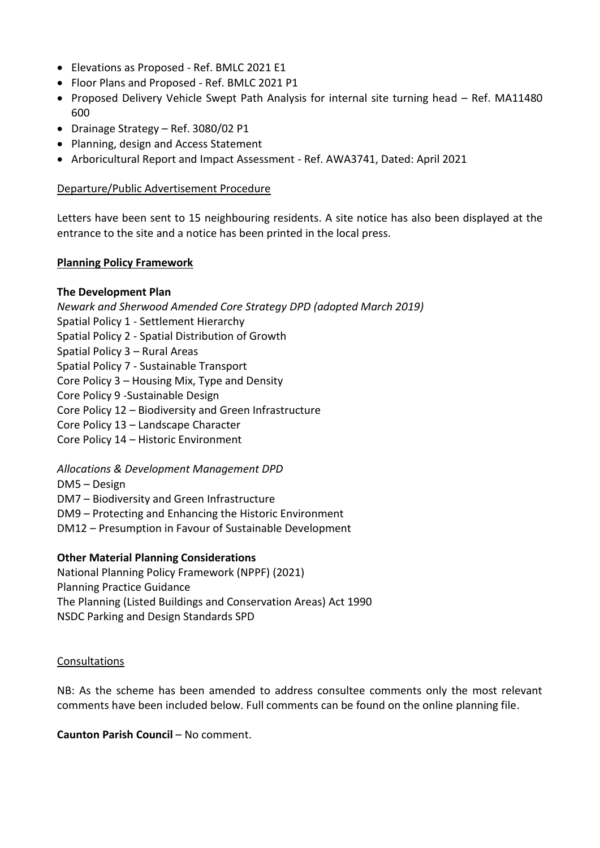- Elevations as Proposed Ref. BMLC 2021 E1
- Floor Plans and Proposed Ref. BMLC 2021 P1
- Proposed Delivery Vehicle Swept Path Analysis for internal site turning head Ref. MA11480 600
- Drainage Strategy Ref. 3080/02 P1
- Planning, design and Access Statement
- Arboricultural Report and Impact Assessment Ref. AWA3741, Dated: April 2021

#### Departure/Public Advertisement Procedure

Letters have been sent to 15 neighbouring residents. A site notice has also been displayed at the entrance to the site and a notice has been printed in the local press.

#### **Planning Policy Framework**

#### **The Development Plan**

*Newark and Sherwood Amended Core Strategy DPD (adopted March 2019)*

- Spatial Policy 1 Settlement Hierarchy
- Spatial Policy 2 Spatial Distribution of Growth
- Spatial Policy 3 Rural Areas
- Spatial Policy 7 Sustainable Transport
- Core Policy 3 Housing Mix, Type and Density
- Core Policy 9 -Sustainable Design
- Core Policy 12 Biodiversity and Green Infrastructure
- Core Policy 13 Landscape Character
- Core Policy 14 Historic Environment

*Allocations & Development Management DPD*

- DM5 Design
- DM7 Biodiversity and Green Infrastructure
- DM9 Protecting and Enhancing the Historic Environment
- DM12 Presumption in Favour of Sustainable Development

#### **Other Material Planning Considerations**

National Planning Policy Framework (NPPF) (2021) Planning Practice Guidance The Planning (Listed Buildings and Conservation Areas) Act 1990 NSDC Parking and Design Standards SPD

#### Consultations

NB: As the scheme has been amended to address consultee comments only the most relevant comments have been included below. Full comments can be found on the online planning file.

#### **Caunton Parish Council** – No comment.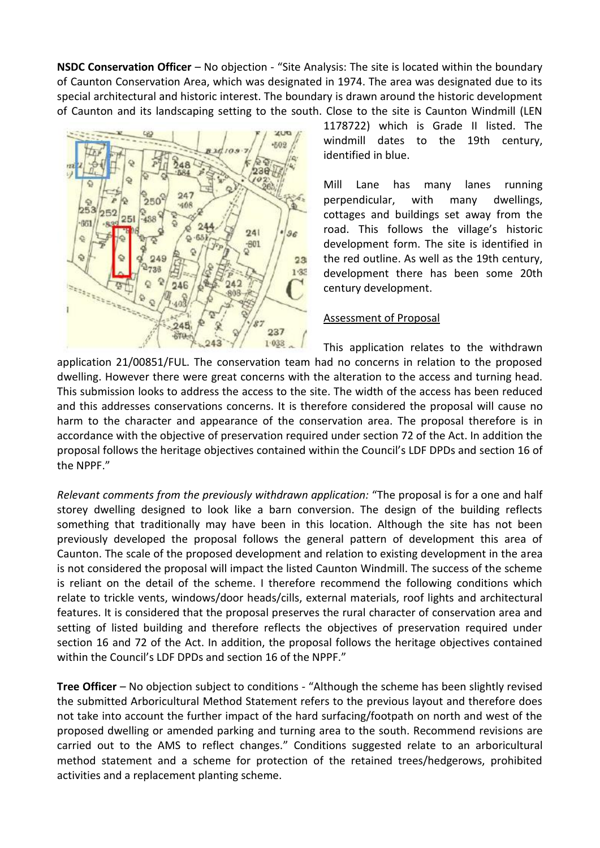**NSDC Conservation Officer** – No objection - "Site Analysis: The site is located within the boundary of Caunton Conservation Area, which was designated in 1974. The area was designated due to its special architectural and historic interest. The boundary is drawn around the historic development of Caunton and its landscaping setting to the south. Close to the site is Caunton Windmill (LEN



1178722) which is Grade II listed. The windmill dates to the 19th century, identified in blue.

Mill Lane has many lanes running perpendicular, with many dwellings, cottages and buildings set away from the road. This follows the village's historic development form. The site is identified in the red outline. As well as the 19th century, development there has been some 20th century development.

#### Assessment of Proposal

This application relates to the withdrawn application 21/00851/FUL. The conservation team had no concerns in relation to the proposed dwelling. However there were great concerns with the alteration to the access and turning head. This submission looks to address the access to the site. The width of the access has been reduced and this addresses conservations concerns. It is therefore considered the proposal will cause no harm to the character and appearance of the conservation area. The proposal therefore is in accordance with the objective of preservation required under section 72 of the Act. In addition the proposal follows the heritage objectives contained within the Council's LDF DPDs and section 16 of the NPPF."

*Relevant comments from the previously withdrawn application:* "The proposal is for a one and half storey dwelling designed to look like a barn conversion. The design of the building reflects something that traditionally may have been in this location. Although the site has not been previously developed the proposal follows the general pattern of development this area of Caunton. The scale of the proposed development and relation to existing development in the area is not considered the proposal will impact the listed Caunton Windmill. The success of the scheme is reliant on the detail of the scheme. I therefore recommend the following conditions which relate to trickle vents, windows/door heads/cills, external materials, roof lights and architectural features. It is considered that the proposal preserves the rural character of conservation area and setting of listed building and therefore reflects the objectives of preservation required under section 16 and 72 of the Act. In addition, the proposal follows the heritage objectives contained within the Council's LDF DPDs and section 16 of the NPPF."

**Tree Officer** – No objection subject to conditions - "Although the scheme has been slightly revised the submitted Arboricultural Method Statement refers to the previous layout and therefore does not take into account the further impact of the hard surfacing/footpath on north and west of the proposed dwelling or amended parking and turning area to the south. Recommend revisions are carried out to the AMS to reflect changes." Conditions suggested relate to an arboricultural method statement and a scheme for protection of the retained trees/hedgerows, prohibited activities and a replacement planting scheme.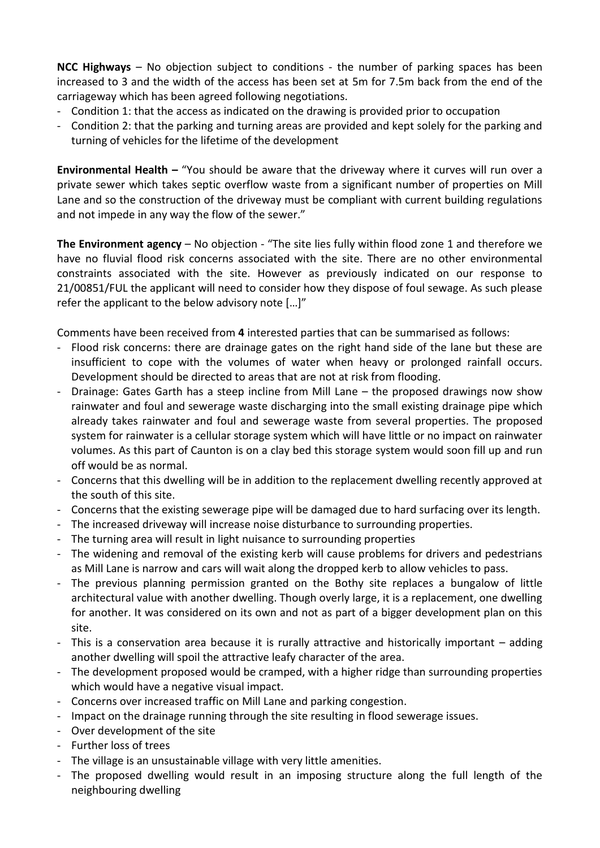**NCC Highways** – No objection subject to conditions - the number of parking spaces has been increased to 3 and the width of the access has been set at 5m for 7.5m back from the end of the carriageway which has been agreed following negotiations.

- Condition 1: that the access as indicated on the drawing is provided prior to occupation
- Condition 2: that the parking and turning areas are provided and kept solely for the parking and turning of vehicles for the lifetime of the development

**Environmental Health –** "You should be aware that the driveway where it curves will run over a private sewer which takes septic overflow waste from a significant number of properties on Mill Lane and so the construction of the driveway must be compliant with current building regulations and not impede in any way the flow of the sewer."

**The Environment agency** – No objection - "The site lies fully within flood zone 1 and therefore we have no fluvial flood risk concerns associated with the site. There are no other environmental constraints associated with the site. However as previously indicated on our response to 21/00851/FUL the applicant will need to consider how they dispose of foul sewage. As such please refer the applicant to the below advisory note […]"

Comments have been received from **4** interested parties that can be summarised as follows:

- Flood risk concerns: there are drainage gates on the right hand side of the lane but these are insufficient to cope with the volumes of water when heavy or prolonged rainfall occurs. Development should be directed to areas that are not at risk from flooding.
- Drainage: Gates Garth has a steep incline from Mill Lane the proposed drawings now show rainwater and foul and sewerage waste discharging into the small existing drainage pipe which already takes rainwater and foul and sewerage waste from several properties. The proposed system for rainwater is a cellular storage system which will have little or no impact on rainwater volumes. As this part of Caunton is on a clay bed this storage system would soon fill up and run off would be as normal.
- Concerns that this dwelling will be in addition to the replacement dwelling recently approved at the south of this site.
- Concerns that the existing sewerage pipe will be damaged due to hard surfacing over its length.
- The increased driveway will increase noise disturbance to surrounding properties.
- The turning area will result in light nuisance to surrounding properties
- The widening and removal of the existing kerb will cause problems for drivers and pedestrians as Mill Lane is narrow and cars will wait along the dropped kerb to allow vehicles to pass.
- The previous planning permission granted on the Bothy site replaces a bungalow of little architectural value with another dwelling. Though overly large, it is a replacement, one dwelling for another. It was considered on its own and not as part of a bigger development plan on this site.
- This is a conservation area because it is rurally attractive and historically important adding another dwelling will spoil the attractive leafy character of the area.
- The development proposed would be cramped, with a higher ridge than surrounding properties which would have a negative visual impact.
- Concerns over increased traffic on Mill Lane and parking congestion.
- Impact on the drainage running through the site resulting in flood sewerage issues.
- Over development of the site
- Further loss of trees
- The village is an unsustainable village with very little amenities.
- The proposed dwelling would result in an imposing structure along the full length of the neighbouring dwelling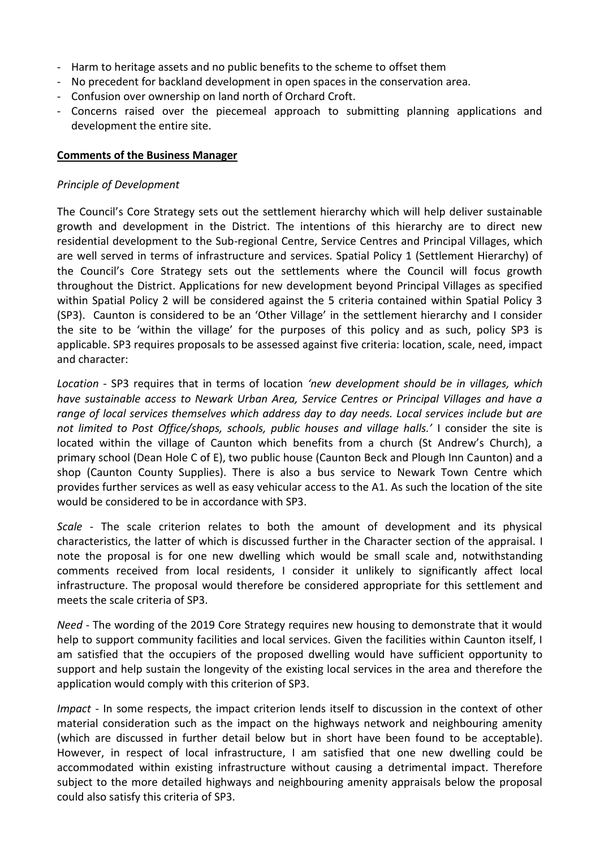- Harm to heritage assets and no public benefits to the scheme to offset them
- No precedent for backland development in open spaces in the conservation area.
- Confusion over ownership on land north of Orchard Croft.
- Concerns raised over the piecemeal approach to submitting planning applications and development the entire site.

#### **Comments of the Business Manager**

#### *Principle of Development*

The Council's Core Strategy sets out the settlement hierarchy which will help deliver sustainable growth and development in the District. The intentions of this hierarchy are to direct new residential development to the Sub-regional Centre, Service Centres and Principal Villages, which are well served in terms of infrastructure and services. Spatial Policy 1 (Settlement Hierarchy) of the Council's Core Strategy sets out the settlements where the Council will focus growth throughout the District. Applications for new development beyond Principal Villages as specified within Spatial Policy 2 will be considered against the 5 criteria contained within Spatial Policy 3 (SP3). Caunton is considered to be an 'Other Village' in the settlement hierarchy and I consider the site to be 'within the village' for the purposes of this policy and as such, policy SP3 is applicable. SP3 requires proposals to be assessed against five criteria: location, scale, need, impact and character:

*Location* - SP3 requires that in terms of location *'new development should be in villages, which have sustainable access to Newark Urban Area, Service Centres or Principal Villages and have a range of local services themselves which address day to day needs. Local services include but are not limited to Post Office/shops, schools, public houses and village halls.'* I consider the site is located within the village of Caunton which benefits from a church (St Andrew's Church), a primary school (Dean Hole C of E), two public house (Caunton Beck and Plough Inn Caunton) and a shop (Caunton County Supplies). There is also a bus service to Newark Town Centre which provides further services as well as easy vehicular access to the A1. As such the location of the site would be considered to be in accordance with SP3.

*Scale* - The scale criterion relates to both the amount of development and its physical characteristics, the latter of which is discussed further in the Character section of the appraisal. I note the proposal is for one new dwelling which would be small scale and, notwithstanding comments received from local residents, I consider it unlikely to significantly affect local infrastructure. The proposal would therefore be considered appropriate for this settlement and meets the scale criteria of SP3.

*Need* - The wording of the 2019 Core Strategy requires new housing to demonstrate that it would help to support community facilities and local services. Given the facilities within Caunton itself, I am satisfied that the occupiers of the proposed dwelling would have sufficient opportunity to support and help sustain the longevity of the existing local services in the area and therefore the application would comply with this criterion of SP3.

*Impact* - In some respects, the impact criterion lends itself to discussion in the context of other material consideration such as the impact on the highways network and neighbouring amenity (which are discussed in further detail below but in short have been found to be acceptable). However, in respect of local infrastructure, I am satisfied that one new dwelling could be accommodated within existing infrastructure without causing a detrimental impact. Therefore subject to the more detailed highways and neighbouring amenity appraisals below the proposal could also satisfy this criteria of SP3.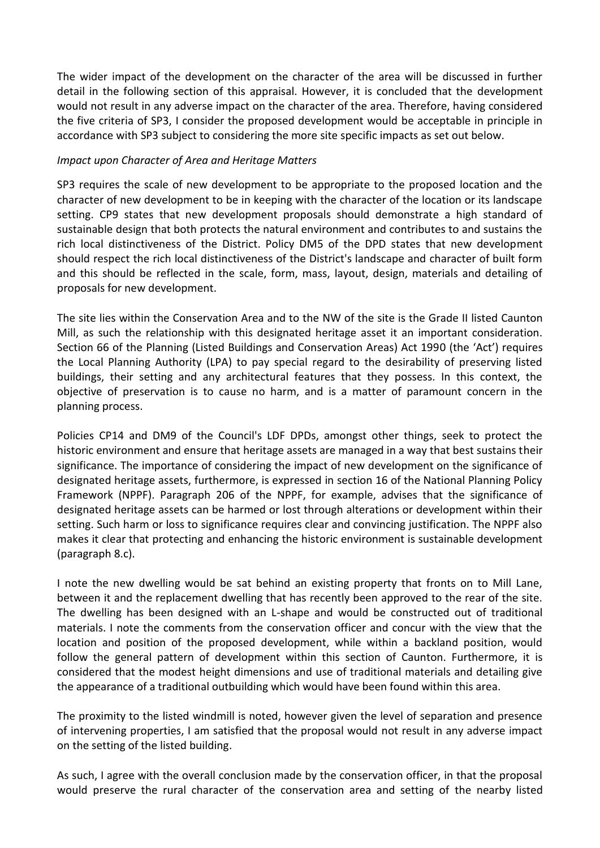The wider impact of the development on the character of the area will be discussed in further detail in the following section of this appraisal. However, it is concluded that the development would not result in any adverse impact on the character of the area. Therefore, having considered the five criteria of SP3, I consider the proposed development would be acceptable in principle in accordance with SP3 subject to considering the more site specific impacts as set out below.

#### *Impact upon Character of Area and Heritage Matters*

SP3 requires the scale of new development to be appropriate to the proposed location and the character of new development to be in keeping with the character of the location or its landscape setting. CP9 states that new development proposals should demonstrate a high standard of sustainable design that both protects the natural environment and contributes to and sustains the rich local distinctiveness of the District. Policy DM5 of the DPD states that new development should respect the rich local distinctiveness of the District's landscape and character of built form and this should be reflected in the scale, form, mass, layout, design, materials and detailing of proposals for new development.

The site lies within the Conservation Area and to the NW of the site is the Grade II listed Caunton Mill, as such the relationship with this designated heritage asset it an important consideration. Section 66 of the Planning (Listed Buildings and Conservation Areas) Act 1990 (the 'Act') requires the Local Planning Authority (LPA) to pay special regard to the desirability of preserving listed buildings, their setting and any architectural features that they possess. In this context, the objective of preservation is to cause no harm, and is a matter of paramount concern in the planning process.

Policies CP14 and DM9 of the Council's LDF DPDs, amongst other things, seek to protect the historic environment and ensure that heritage assets are managed in a way that best sustains their significance. The importance of considering the impact of new development on the significance of designated heritage assets, furthermore, is expressed in section 16 of the National Planning Policy Framework (NPPF). Paragraph 206 of the NPPF, for example, advises that the significance of designated heritage assets can be harmed or lost through alterations or development within their setting. Such harm or loss to significance requires clear and convincing justification. The NPPF also makes it clear that protecting and enhancing the historic environment is sustainable development (paragraph 8.c).

I note the new dwelling would be sat behind an existing property that fronts on to Mill Lane, between it and the replacement dwelling that has recently been approved to the rear of the site. The dwelling has been designed with an L-shape and would be constructed out of traditional materials. I note the comments from the conservation officer and concur with the view that the location and position of the proposed development, while within a backland position, would follow the general pattern of development within this section of Caunton. Furthermore, it is considered that the modest height dimensions and use of traditional materials and detailing give the appearance of a traditional outbuilding which would have been found within this area.

The proximity to the listed windmill is noted, however given the level of separation and presence of intervening properties, I am satisfied that the proposal would not result in any adverse impact on the setting of the listed building.

As such, I agree with the overall conclusion made by the conservation officer, in that the proposal would preserve the rural character of the conservation area and setting of the nearby listed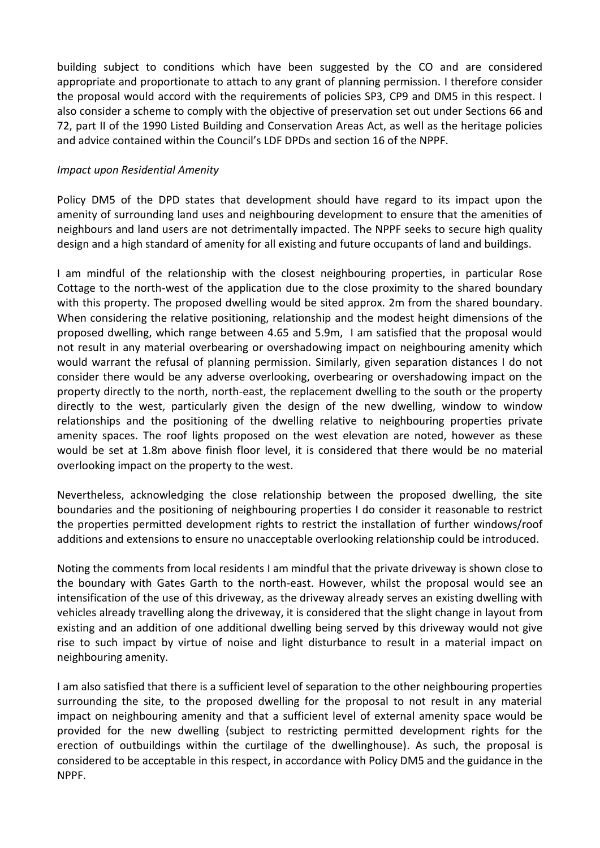building subject to conditions which have been suggested by the CO and are considered appropriate and proportionate to attach to any grant of planning permission. I therefore consider the proposal would accord with the requirements of policies SP3, CP9 and DM5 in this respect. I also consider a scheme to comply with the objective of preservation set out under Sections 66 and 72, part II of the 1990 Listed Building and Conservation Areas Act, as well as the heritage policies and advice contained within the Council's LDF DPDs and section 16 of the NPPF.

#### *Impact upon Residential Amenity*

Policy DM5 of the DPD states that development should have regard to its impact upon the amenity of surrounding land uses and neighbouring development to ensure that the amenities of neighbours and land users are not detrimentally impacted. The NPPF seeks to secure high quality design and a high standard of amenity for all existing and future occupants of land and buildings.

I am mindful of the relationship with the closest neighbouring properties, in particular Rose Cottage to the north-west of the application due to the close proximity to the shared boundary with this property. The proposed dwelling would be sited approx. 2m from the shared boundary. When considering the relative positioning, relationship and the modest height dimensions of the proposed dwelling, which range between 4.65 and 5.9m, I am satisfied that the proposal would not result in any material overbearing or overshadowing impact on neighbouring amenity which would warrant the refusal of planning permission. Similarly, given separation distances I do not consider there would be any adverse overlooking, overbearing or overshadowing impact on the property directly to the north, north-east, the replacement dwelling to the south or the property directly to the west, particularly given the design of the new dwelling, window to window relationships and the positioning of the dwelling relative to neighbouring properties private amenity spaces. The roof lights proposed on the west elevation are noted, however as these would be set at 1.8m above finish floor level, it is considered that there would be no material overlooking impact on the property to the west.

Nevertheless, acknowledging the close relationship between the proposed dwelling, the site boundaries and the positioning of neighbouring properties I do consider it reasonable to restrict the properties permitted development rights to restrict the installation of further windows/roof additions and extensions to ensure no unacceptable overlooking relationship could be introduced.

Noting the comments from local residents I am mindful that the private driveway is shown close to the boundary with Gates Garth to the north-east. However, whilst the proposal would see an intensification of the use of this driveway, as the driveway already serves an existing dwelling with vehicles already travelling along the driveway, it is considered that the slight change in layout from existing and an addition of one additional dwelling being served by this driveway would not give rise to such impact by virtue of noise and light disturbance to result in a material impact on neighbouring amenity.

I am also satisfied that there is a sufficient level of separation to the other neighbouring properties surrounding the site, to the proposed dwelling for the proposal to not result in any material impact on neighbouring amenity and that a sufficient level of external amenity space would be provided for the new dwelling (subject to restricting permitted development rights for the erection of outbuildings within the curtilage of the dwellinghouse). As such, the proposal is considered to be acceptable in this respect, in accordance with Policy DM5 and the guidance in the NPPF.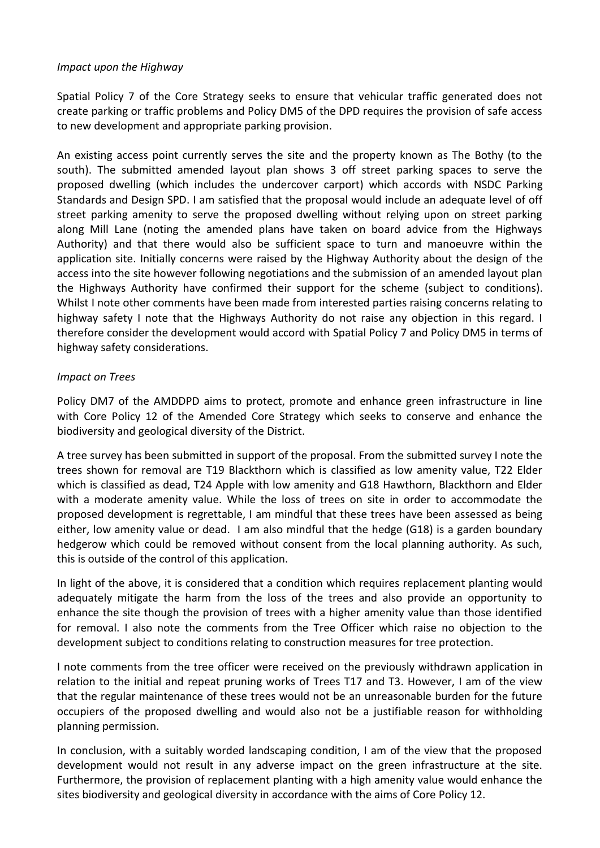#### *Impact upon the Highway*

Spatial Policy 7 of the Core Strategy seeks to ensure that vehicular traffic generated does not create parking or traffic problems and Policy DM5 of the DPD requires the provision of safe access to new development and appropriate parking provision.

An existing access point currently serves the site and the property known as The Bothy (to the south). The submitted amended layout plan shows 3 off street parking spaces to serve the proposed dwelling (which includes the undercover carport) which accords with NSDC Parking Standards and Design SPD. I am satisfied that the proposal would include an adequate level of off street parking amenity to serve the proposed dwelling without relying upon on street parking along Mill Lane (noting the amended plans have taken on board advice from the Highways Authority) and that there would also be sufficient space to turn and manoeuvre within the application site. Initially concerns were raised by the Highway Authority about the design of the access into the site however following negotiations and the submission of an amended layout plan the Highways Authority have confirmed their support for the scheme (subject to conditions). Whilst I note other comments have been made from interested parties raising concerns relating to highway safety I note that the Highways Authority do not raise any objection in this regard. I therefore consider the development would accord with Spatial Policy 7 and Policy DM5 in terms of highway safety considerations.

## *Impact on Trees*

Policy DM7 of the AMDDPD aims to protect, promote and enhance green infrastructure in line with Core Policy 12 of the Amended Core Strategy which seeks to conserve and enhance the biodiversity and geological diversity of the District.

A tree survey has been submitted in support of the proposal. From the submitted survey I note the trees shown for removal are T19 Blackthorn which is classified as low amenity value, T22 Elder which is classified as dead, T24 Apple with low amenity and G18 Hawthorn, Blackthorn and Elder with a moderate amenity value. While the loss of trees on site in order to accommodate the proposed development is regrettable, I am mindful that these trees have been assessed as being either, low amenity value or dead. I am also mindful that the hedge (G18) is a garden boundary hedgerow which could be removed without consent from the local planning authority. As such, this is outside of the control of this application.

In light of the above, it is considered that a condition which requires replacement planting would adequately mitigate the harm from the loss of the trees and also provide an opportunity to enhance the site though the provision of trees with a higher amenity value than those identified for removal. I also note the comments from the Tree Officer which raise no objection to the development subject to conditions relating to construction measures for tree protection.

I note comments from the tree officer were received on the previously withdrawn application in relation to the initial and repeat pruning works of Trees T17 and T3. However, I am of the view that the regular maintenance of these trees would not be an unreasonable burden for the future occupiers of the proposed dwelling and would also not be a justifiable reason for withholding planning permission.

In conclusion, with a suitably worded landscaping condition, I am of the view that the proposed development would not result in any adverse impact on the green infrastructure at the site. Furthermore, the provision of replacement planting with a high amenity value would enhance the sites biodiversity and geological diversity in accordance with the aims of Core Policy 12.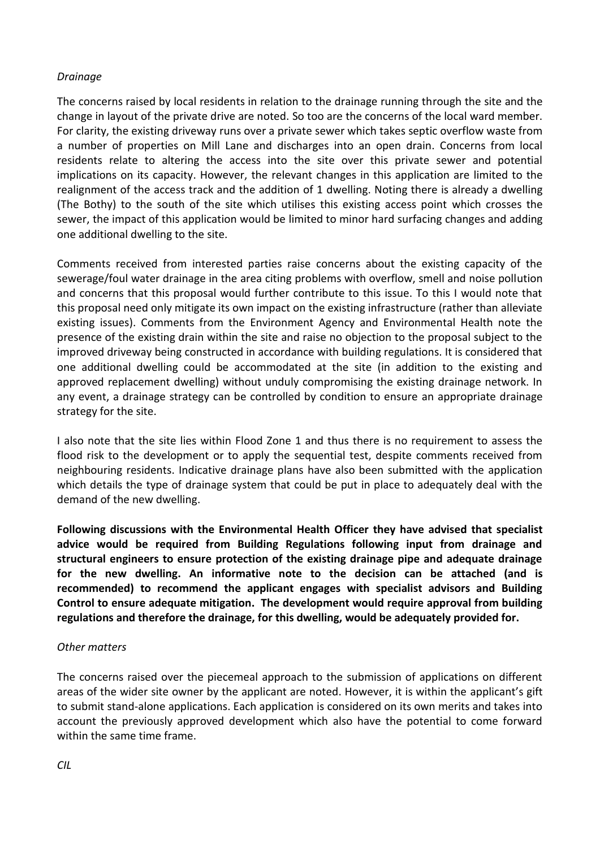#### *Drainage*

The concerns raised by local residents in relation to the drainage running through the site and the change in layout of the private drive are noted. So too are the concerns of the local ward member. For clarity, the existing driveway runs over a private sewer which takes septic overflow waste from a number of properties on Mill Lane and discharges into an open drain. Concerns from local residents relate to altering the access into the site over this private sewer and potential implications on its capacity. However, the relevant changes in this application are limited to the realignment of the access track and the addition of 1 dwelling. Noting there is already a dwelling (The Bothy) to the south of the site which utilises this existing access point which crosses the sewer, the impact of this application would be limited to minor hard surfacing changes and adding one additional dwelling to the site.

Comments received from interested parties raise concerns about the existing capacity of the sewerage/foul water drainage in the area citing problems with overflow, smell and noise pollution and concerns that this proposal would further contribute to this issue. To this I would note that this proposal need only mitigate its own impact on the existing infrastructure (rather than alleviate existing issues). Comments from the Environment Agency and Environmental Health note the presence of the existing drain within the site and raise no objection to the proposal subject to the improved driveway being constructed in accordance with building regulations. It is considered that one additional dwelling could be accommodated at the site (in addition to the existing and approved replacement dwelling) without unduly compromising the existing drainage network. In any event, a drainage strategy can be controlled by condition to ensure an appropriate drainage strategy for the site.

I also note that the site lies within Flood Zone 1 and thus there is no requirement to assess the flood risk to the development or to apply the sequential test, despite comments received from neighbouring residents. Indicative drainage plans have also been submitted with the application which details the type of drainage system that could be put in place to adequately deal with the demand of the new dwelling.

**Following discussions with the Environmental Health Officer they have advised that specialist advice would be required from Building Regulations following input from drainage and structural engineers to ensure protection of the existing drainage pipe and adequate drainage for the new dwelling. An informative note to the decision can be attached (and is recommended) to recommend the applicant engages with specialist advisors and Building Control to ensure adequate mitigation. The development would require approval from building regulations and therefore the drainage, for this dwelling, would be adequately provided for.** 

#### *Other matters*

The concerns raised over the piecemeal approach to the submission of applications on different areas of the wider site owner by the applicant are noted. However, it is within the applicant's gift to submit stand-alone applications. Each application is considered on its own merits and takes into account the previously approved development which also have the potential to come forward within the same time frame.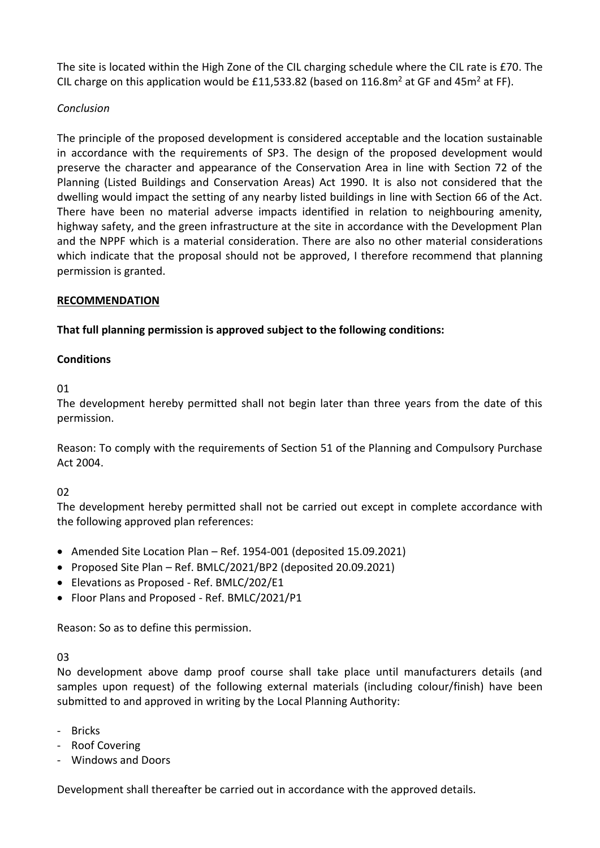The site is located within the High Zone of the CIL charging schedule where the CIL rate is £70. The CIL charge on this application would be £11,533.82 (based on 116.8 $m^2$  at GF and 45 $m^2$  at FF).

## *Conclusion*

The principle of the proposed development is considered acceptable and the location sustainable in accordance with the requirements of SP3. The design of the proposed development would preserve the character and appearance of the Conservation Area in line with Section 72 of the Planning (Listed Buildings and Conservation Areas) Act 1990. It is also not considered that the dwelling would impact the setting of any nearby listed buildings in line with Section 66 of the Act. There have been no material adverse impacts identified in relation to neighbouring amenity, highway safety, and the green infrastructure at the site in accordance with the Development Plan and the NPPF which is a material consideration. There are also no other material considerations which indicate that the proposal should not be approved, I therefore recommend that planning permission is granted.

## **RECOMMENDATION**

## **That full planning permission is approved subject to the following conditions:**

## **Conditions**

01

The development hereby permitted shall not begin later than three years from the date of this permission.

Reason: To comply with the requirements of Section 51 of the Planning and Compulsory Purchase Act 2004.

## $02$

The development hereby permitted shall not be carried out except in complete accordance with the following approved plan references:

- Amended Site Location Plan Ref. 1954-001 (deposited 15.09.2021)
- Proposed Site Plan Ref. BMLC/2021/BP2 (deposited 20.09.2021)
- Elevations as Proposed Ref. BMLC/202/E1
- Floor Plans and Proposed Ref. BMLC/2021/P1

Reason: So as to define this permission.

## 03

No development above damp proof course shall take place until manufacturers details (and samples upon request) of the following external materials (including colour/finish) have been submitted to and approved in writing by the Local Planning Authority:

- Bricks
- Roof Covering
- Windows and Doors

Development shall thereafter be carried out in accordance with the approved details.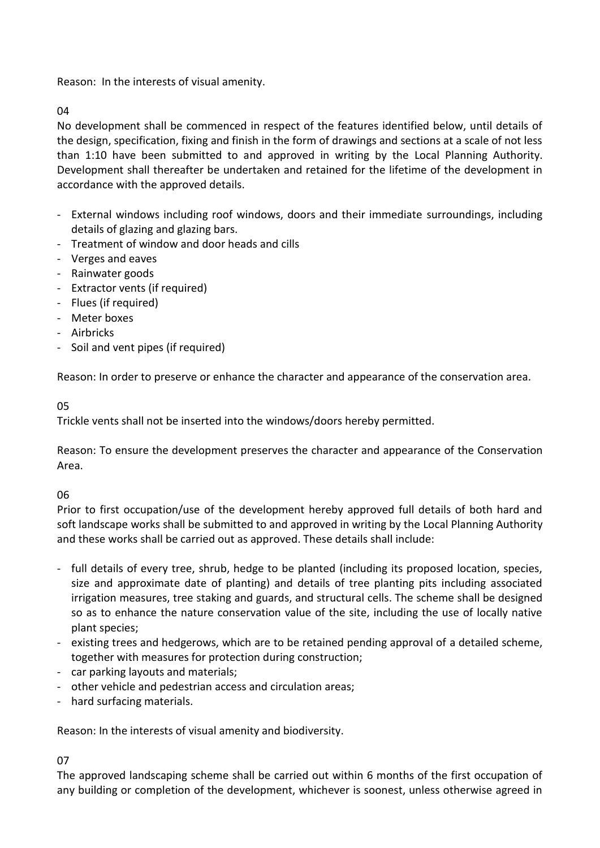Reason: In the interests of visual amenity.

 $04$ 

No development shall be commenced in respect of the features identified below, until details of the design, specification, fixing and finish in the form of drawings and sections at a scale of not less than 1:10 have been submitted to and approved in writing by the Local Planning Authority. Development shall thereafter be undertaken and retained for the lifetime of the development in accordance with the approved details.

- External windows including roof windows, doors and their immediate surroundings, including details of glazing and glazing bars.
- Treatment of window and door heads and cills
- Verges and eaves
- Rainwater goods
- Extractor vents (if required)
- Flues (if required)
- Meter boxes
- Airbricks
- Soil and vent pipes (if required)

Reason: In order to preserve or enhance the character and appearance of the conservation area.

## 05

Trickle vents shall not be inserted into the windows/doors hereby permitted.

Reason: To ensure the development preserves the character and appearance of the Conservation Area.

06

Prior to first occupation/use of the development hereby approved full details of both hard and soft landscape works shall be submitted to and approved in writing by the Local Planning Authority and these works shall be carried out as approved. These details shall include:

- full details of every tree, shrub, hedge to be planted (including its proposed location, species, size and approximate date of planting) and details of tree planting pits including associated irrigation measures, tree staking and guards, and structural cells. The scheme shall be designed so as to enhance the nature conservation value of the site, including the use of locally native plant species;
- existing trees and hedgerows, which are to be retained pending approval of a detailed scheme, together with measures for protection during construction;
- car parking layouts and materials;
- other vehicle and pedestrian access and circulation areas;
- hard surfacing materials.

Reason: In the interests of visual amenity and biodiversity.

07

The approved landscaping scheme shall be carried out within 6 months of the first occupation of any building or completion of the development, whichever is soonest, unless otherwise agreed in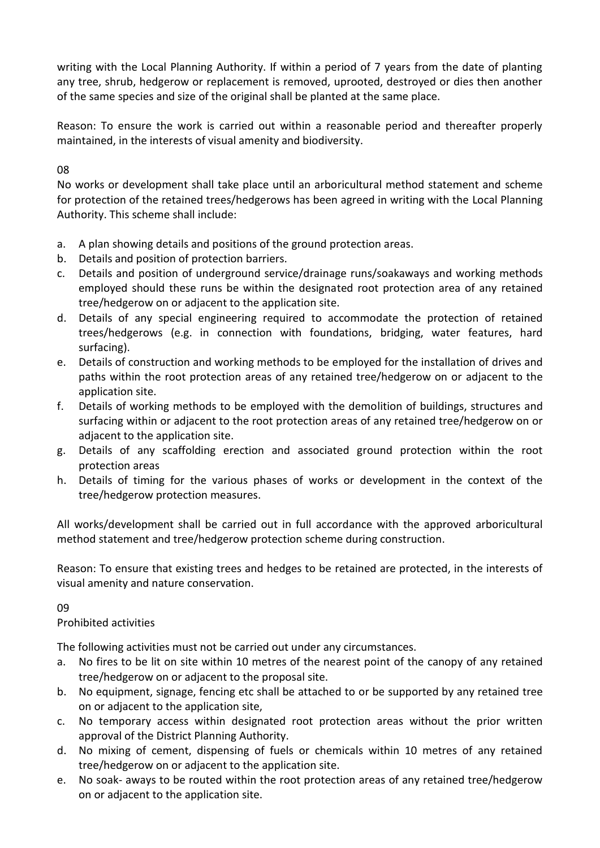writing with the Local Planning Authority. If within a period of 7 years from the date of planting any tree, shrub, hedgerow or replacement is removed, uprooted, destroyed or dies then another of the same species and size of the original shall be planted at the same place.

Reason: To ensure the work is carried out within a reasonable period and thereafter properly maintained, in the interests of visual amenity and biodiversity.

## 08

No works or development shall take place until an arboricultural method statement and scheme for protection of the retained trees/hedgerows has been agreed in writing with the Local Planning Authority. This scheme shall include:

- a. A plan showing details and positions of the ground protection areas.
- b. Details and position of protection barriers.
- c. Details and position of underground service/drainage runs/soakaways and working methods employed should these runs be within the designated root protection area of any retained tree/hedgerow on or adjacent to the application site.
- d. Details of any special engineering required to accommodate the protection of retained trees/hedgerows (e.g. in connection with foundations, bridging, water features, hard surfacing).
- e. Details of construction and working methods to be employed for the installation of drives and paths within the root protection areas of any retained tree/hedgerow on or adjacent to the application site.
- f. Details of working methods to be employed with the demolition of buildings, structures and surfacing within or adjacent to the root protection areas of any retained tree/hedgerow on or adjacent to the application site.
- g. Details of any scaffolding erection and associated ground protection within the root protection areas
- h. Details of timing for the various phases of works or development in the context of the tree/hedgerow protection measures.

All works/development shall be carried out in full accordance with the approved arboricultural method statement and tree/hedgerow protection scheme during construction.

Reason: To ensure that existing trees and hedges to be retained are protected, in the interests of visual amenity and nature conservation.

## 09

## Prohibited activities

The following activities must not be carried out under any circumstances.

- a. No fires to be lit on site within 10 metres of the nearest point of the canopy of any retained tree/hedgerow on or adjacent to the proposal site.
- b. No equipment, signage, fencing etc shall be attached to or be supported by any retained tree on or adjacent to the application site,
- c. No temporary access within designated root protection areas without the prior written approval of the District Planning Authority.
- d. No mixing of cement, dispensing of fuels or chemicals within 10 metres of any retained tree/hedgerow on or adjacent to the application site.
- e. No soak- aways to be routed within the root protection areas of any retained tree/hedgerow on or adjacent to the application site.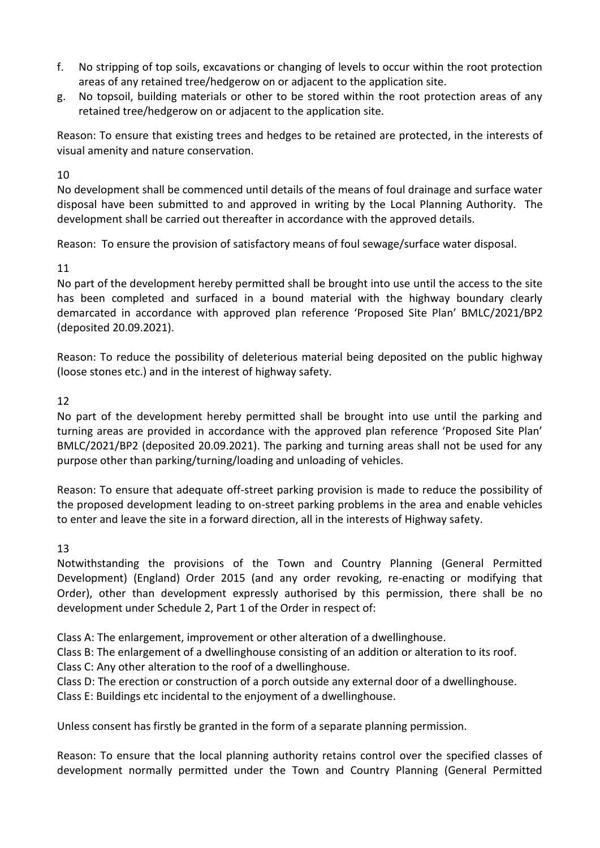- f. No stripping of top soils, excavations or changing of levels to occur within the root protection areas of any retained tree/hedgerow on or adjacent to the application site.
- g. No topsoil, building materials or other to be stored within the root protection areas of any retained tree/hedgerow on or adjacent to the application site.

Reason: To ensure that existing trees and hedges to be retained are protected, in the interests of visual amenity and nature conservation.

## 10

No development shall be commenced until details of the means of foul drainage and surface water disposal have been submitted to and approved in writing by the Local Planning Authority. The development shall be carried out thereafter in accordance with the approved details.

Reason: To ensure the provision of satisfactory means of foul sewage/surface water disposal.

# 11

No part of the development hereby permitted shall be brought into use until the access to the site has been completed and surfaced in a bound material with the highway boundary clearly demarcated in accordance with approved plan reference 'Proposed Site Plan' BMLC/2021/BP2 (deposited 20.09.2021).

Reason: To reduce the possibility of deleterious material being deposited on the public highway (loose stones etc.) and in the interest of highway safety.

## 12

No part of the development hereby permitted shall be brought into use until the parking and turning areas are provided in accordance with the approved plan reference 'Proposed Site Plan' BMLC/2021/BP2 (deposited 20.09.2021). The parking and turning areas shall not be used for any purpose other than parking/turning/loading and unloading of vehicles.

Reason: To ensure that adequate off-street parking provision is made to reduce the possibility of the proposed development leading to on-street parking problems in the area and enable vehicles to enter and leave the site in a forward direction, all in the interests of Highway safety.

## 13

Notwithstanding the provisions of the Town and Country Planning (General Permitted Development) (England) Order 2015 (and any order revoking, re-enacting or modifying that Order), other than development expressly authorised by this permission, there shall be no development under Schedule 2, Part 1 of the Order in respect of:

Class A: The enlargement, improvement or other alteration of a dwellinghouse.

Class B: The enlargement of a dwellinghouse consisting of an addition or alteration to its roof.

Class C: Any other alteration to the roof of a dwellinghouse.

Class D: The erection or construction of a porch outside any external door of a dwellinghouse.

Class E: Buildings etc incidental to the enjoyment of a dwellinghouse.

Unless consent has firstly be granted in the form of a separate planning permission.

Reason: To ensure that the local planning authority retains control over the specified classes of development normally permitted under the Town and Country Planning (General Permitted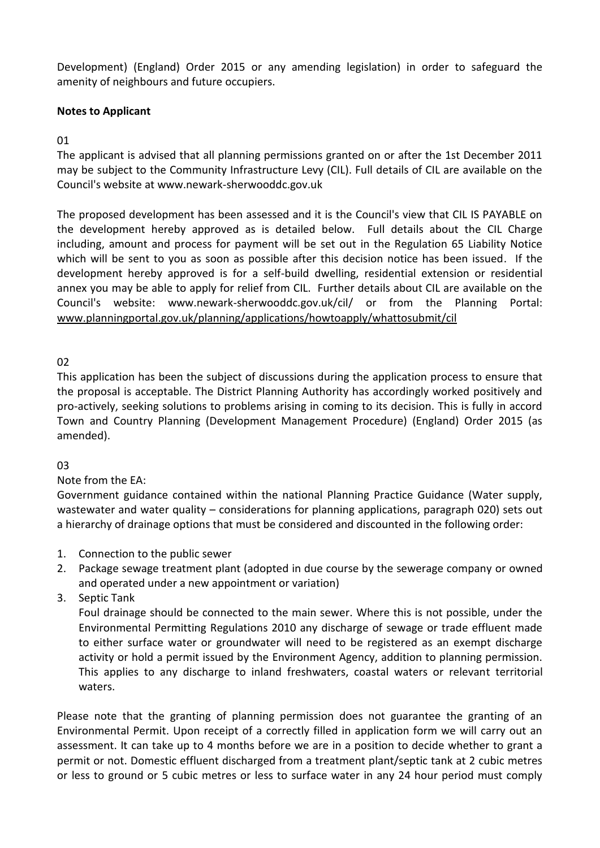Development) (England) Order 2015 or any amending legislation) in order to safeguard the amenity of neighbours and future occupiers.

#### **Notes to Applicant**

01

The applicant is advised that all planning permissions granted on or after the 1st December 2011 may be subject to the Community Infrastructure Levy (CIL). Full details of CIL are available on the Council's website at www.newark-sherwooddc.gov.uk

The proposed development has been assessed and it is the Council's view that CIL IS PAYABLE on the development hereby approved as is detailed below. Full details about the CIL Charge including, amount and process for payment will be set out in the Regulation 65 Liability Notice which will be sent to you as soon as possible after this decision notice has been issued. If the development hereby approved is for a self-build dwelling, residential extension or residential annex you may be able to apply for relief from CIL. Further details about CIL are available on the Council's website: www.newark-sherwooddc.gov.uk/cil/ or from the Planning Portal: [www.planningportal.gov.uk/planning/applications/howtoapply/whattosubmit/cil](http://www.planningportal.gov.uk/planning/applications/howtoapply/whattosubmit/cil)

02

This application has been the subject of discussions during the application process to ensure that the proposal is acceptable. The District Planning Authority has accordingly worked positively and pro-actively, seeking solutions to problems arising in coming to its decision. This is fully in accord Town and Country Planning (Development Management Procedure) (England) Order 2015 (as amended).

## 03

Note from the EA:

Government guidance contained within the national Planning Practice Guidance (Water supply, wastewater and water quality – considerations for planning applications, paragraph 020) sets out a hierarchy of drainage options that must be considered and discounted in the following order:

- 1. Connection to the public sewer
- 2. Package sewage treatment plant (adopted in due course by the sewerage company or owned and operated under a new appointment or variation)
- 3. Septic Tank

Foul drainage should be connected to the main sewer. Where this is not possible, under the Environmental Permitting Regulations 2010 any discharge of sewage or trade effluent made to either surface water or groundwater will need to be registered as an exempt discharge activity or hold a permit issued by the Environment Agency, addition to planning permission. This applies to any discharge to inland freshwaters, coastal waters or relevant territorial waters.

Please note that the granting of planning permission does not guarantee the granting of an Environmental Permit. Upon receipt of a correctly filled in application form we will carry out an assessment. It can take up to 4 months before we are in a position to decide whether to grant a permit or not. Domestic effluent discharged from a treatment plant/septic tank at 2 cubic metres or less to ground or 5 cubic metres or less to surface water in any 24 hour period must comply